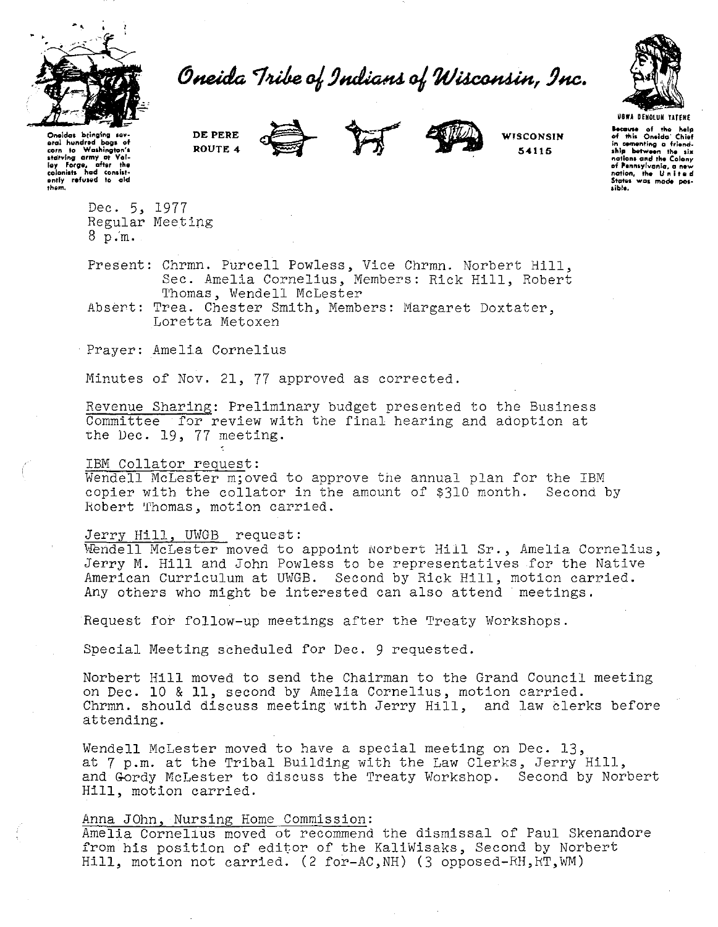

# Oneida Tribe of Indians of Wisconsin, Inc.



**USWA DENOLUN YATENE** Because of the help<br>of this Oneida' Chief in comenting a friend-<br>ship between the six<br>nations and the Colony number and the Colony<br>of Pennsylvania, a new<br>nation, the United<br>States was made possible.

Oneidas bringing sey eral hundred bogs of starving army at Val-<br>ley Forge, after the ently refused to ald thom.

DE PERE ROUTE 4







**WISCONSIN** 

54115

Dec. 5, 1977 Regular Meeting

 $8p.m.$ 

Present: Chrmn. Purcell Powless, Vice Chrmn. Norbert Hill, Sec. Amelia Cornelius, Members: Rick Hill, Robert Thomas, Wendell McLester

Absert: Trea. Chester Smith, Members: Margaret Doxtater, Loretta Metoxen

Prayer: Amelia Cornelius

Minutes of Nov. 21, 77 approved as corrected.

Revenue Sharing: Preliminary budget presented to the Business Committee for review with the final hearing and adoption at the Dec. 19, 77 meeting.

## IBM Collator request:

Wendell McLester m; oved to approve the annual plan for the IBM copier with the collator in the amount of \$310 month. Second by Robert Thomas, motion carried.

## Jerry Hill, UWGB request:

Wendell McLester moved to appoint Norbert Hill Sr., Amelia Cornelius, Jerry M. Hill and John Powless to be representatives for the Native American Curriculum at UWGB. Second by Rick Hill, motion carried. Any others who might be interested can also attend meetings.

Request for follow-up meetings after the Treaty Workshops.

Special Meeting scheduled for Dec. 9 requested.

Norbert Hill moved to send the Chairman to the Grand Council meeting on Dec. 10 & 11, second by Amelia Cornelius, motion carried. Chrmn. should discuss meeting with Jerry Hill, and law clerks before attending.

Wendell McLester moved to have a special meeting on Dec. 13, at 7 p.m. at the Tribal Building with the Law Clerks, Jerry Hill, and Gordy McLester to discuss the Treaty Workshop. Second by Norbert Hill, motion carried.

# Anna JOhn, Nursing Home Commission:

Amelia Cornelius moved ot recommend the dismissal of Paul Skenandore from his position of editor of the KaliWisaks, Second by Norbert Hill, motion not carried. (2 for-AC, NH) (3 opposed-RH, RT, WM)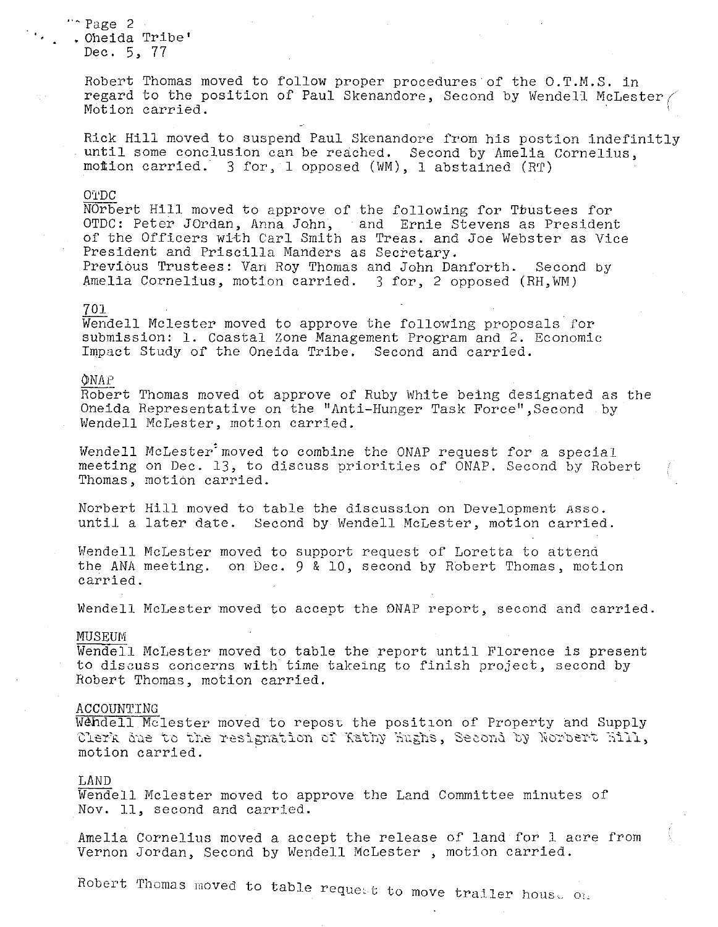# $\cdots$  Page 2  $\cdots$ • Oheida Tribe' Dec. 5, 77

Robert Thomas moved to follow proper procedures of the O.T.M.S. in regard to the position of Paul Skenandore, Second by Wendell McLester Motion carried.

Rick Hill moved to suspend Paul Skenandore from his postion indefinitly until some conclusion can be reached. Second by Amelia Cornelius, motion carried. 3 for, 1 opposed (WM), 1 abstained (RT)

## O'l'DC

NOrbert Hill moved to approve of the following for Tbustees for OTDC: Peter JOrdan, Anna John, and Ernie Stevens as President of the Officers with Carl Smith as Treas. and *Joe* Webster as Vice President and Priscilla Manders as Secretary. Previous Trustees: Van Roy Thomas and John Danforth. Second by Amelia Cornelius, motion carried. 3 for, 2 opposed (RH, WM)

#### 701

Wendell Mclester moved to approve the following proposals for submission: 1. Coastal Zone Management Program and 2. Economic Impact Study of the Oneida Tribe. Second and carried.

#### i)INAf'

Robert Thomas moved ot approve of Ruby White being designated as the Oneida Representative on the ''Anti-Hunger Task Force'',Second by Wendell McLester, motion carried.

Wendell McLester'moved to combine the ONAP request for a special meeting on Dec. 13, to discuss priorities of ONAP. Second by Robert Thomas, motion carried.

Norbert Hill moved to table the discussion on Development Asso. until a later date. Second by Wendell McLester, motion carried.

Wendell McLester moved to support request of Loretta to attend the ANA meeting. on Dec. 9 & 10, second by Robert Thomas, motion carried.

Wendell McLester moved to accept the DNAP report, second and carried.

### **MUSEUM**

Wendell McLester moved to table the report until Florence is present to discuss concerns with time takeing to finish project, second by Robert Thomas, motion carried.

#### ACCOUNTING

Wendell Mclester moved to repost the position of Property and Supply Clerk due to the resignation of Kathy Kughs, Second by Norbert Kill, motion carried.

## LAND

Wendell Mclester moved to approve the Land Committee minutes of Nov. 11, second and carried.

Amelia Cornelius moved a accept the release of land for l acre from Vernon Jordan, Second by Wendell McLester , motion carried.

Robert Thomas moved to table request to move trailer house on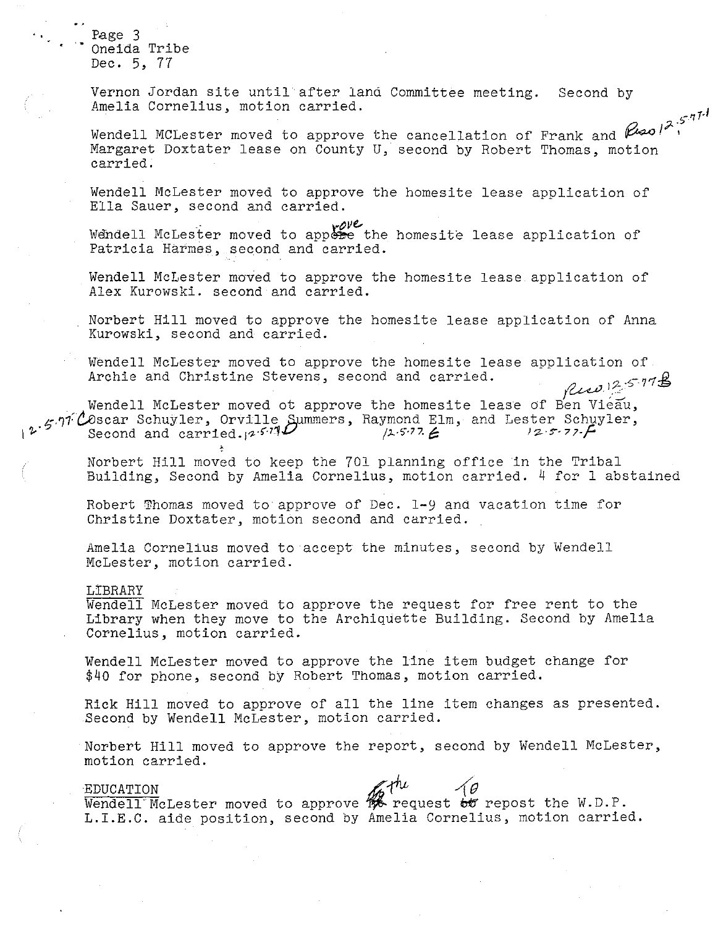Page 3 Oneida Tribe Dec. 5, 77

Vernon Jordan site until after land Committee meeting. Second by Amelia Cornelius, motion carried.

r<sup>-17</sup> Wendell MCLester moved to approve the cancellation of Frank and  $\beta$ Margaret Doxtater lease on County U, second by Robert Thomas, motion carried.

Wendell McLester moved to approve the homesite lease application of Ella Sauer, second and carried.

Wendell McLester moved to appose the homesite lease application of Patricia Harmes, second and carried.

Wendell McLester moved to approve the homesite lease application of Alex Kurowski. second and carried.

Norbert Hill moved to approve the homesite lease application of Anna Kurowski, second and carried.

Wendell McLester moved to approve the homesite lease application of<br>Archie and Christine Stevens, second and carried. Archie and Christine Stevens, second and carried.

Wendell McLester moved ot approve the homesite lease of Ben Vieau,  $t_{\text{c}}$ .97 COscar Schuyler, Orville Summers, Raymond Elm, and Lester Schuyler,<br>Second and carried.  $\frac{1}{2}$  5.77  $\epsilon$  12 5.77 F Second and carried.,<sup>2571</sub></sup>

Norbert Hill moved to keep the 701 planning office in the Tribal Building, Second by Amelia Cornelius, motion carried. 4 for 1 abstained

Robert Thomas moved to approve of Dec. 1-Y and vacation time for Christine Doxtater, motion second and carried.

Amelia Cornelius moved to accept the minutes, second by Wendell McLester, motion carried.

LIBRARY

Wendell McLester moved to approve the request for free rent to the Library when they move to the Archiquette Building. Second by Amelia Cornelius, motion carried.

Wendell McLester moved to approve the line item budget change for \$40 for phone, second by Robert Thomas, motion carried.

Rick Hill moved to approve of all the line item changes as presented. Second by Wendell McLester, motion carried.

Norbert Hill moved to approve the report, second by Wendell McLester, motion carried.

#### EDUCATION

EDUCATION<br>Wendell McLester moved to approve  $\mathscr{H}^{h\iota}$  request  $\overline{\omega}$  repost the W.D.P. L.I.E.C. aide position, second by Amelia Cornelius, motion carried.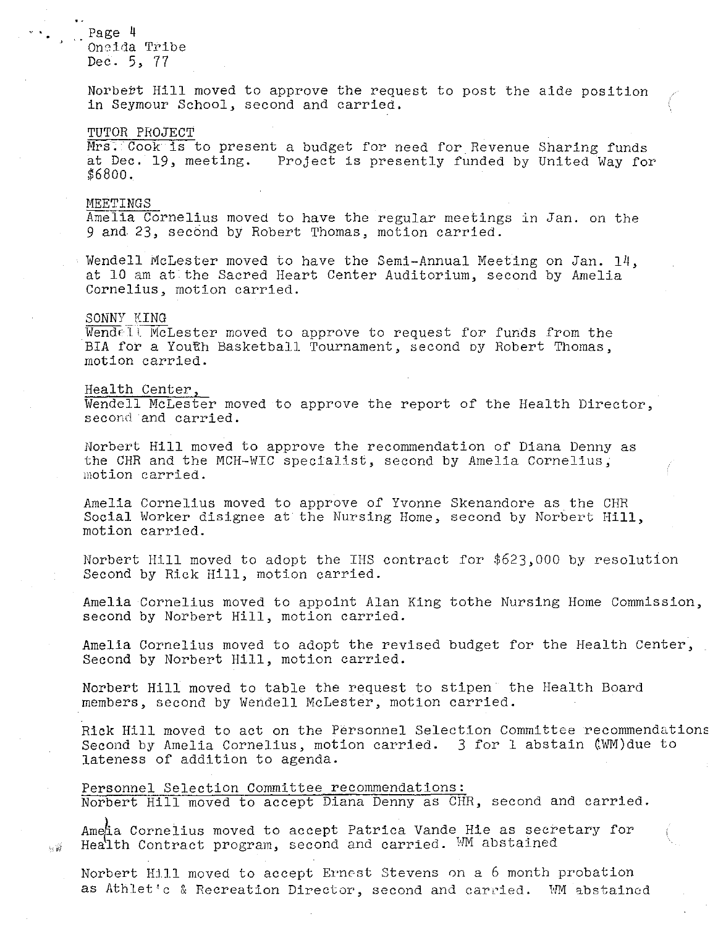Page 4 On8ida Tribe Dec. 5, 77

Norbert Hill moved to approve the request to post the aide position in Seymour School, second and carried.

#### TUTOR PROJECT

Mrs. Cook is to present a budget for need for Revenue Sharing funds at Dec. 19, meeting. Project is presently funded by United Way for \$6800.

## **MEETINGS**

Amelia Cornelius moved to have the regular meetings in Jan. on the 9 and 23, second by Robert Thomas, motion carried.

Wendell McLester moved to have the Semi-Annual Meeting on Jan. 14, at 10 am at the Sacred Heart Center Auditorium, second by Amelia Cornelius, motion carried.

#### SONNY KING

 $\sim 2^3$ 

 $\overline{\text{Wend}e}$  1). MeLester moved to approve to request for funds from the BIA for a Youth Basketball Tournament, second by Robert Thomas, motion carried.

## Health Center,

Wendell McLester moved to approve the report of the Health Director, second and carried.

Norbert Hill moved to approve the recommendation of Diana Denny as the CHR and the MCH-WIC specialist, second by Amelia Cornelius, motion carried.

Amelia Cornelius moved to approve of Yvonne Skenandore as the CHR Social Worker disignee at the Nursing Home, second by Norbert Hill, motion carried.

Norbert Hill moved to adopt the IHS contract for \$623,000 by resolution Second by Rick Hill, motion carried.

Amelia Cornelius moved to appoint Alan King tothe Nursing Home Commission, second by Norbert Hill, motion carried.

Amelia Cornelius moved to adopt the revised budget for the Health Center, Second by Norbert Hill, motion carried.

Norbert Hill moved to table the request to stipen the Health Board members, second by Wendell McLester, motion carried.

Rick Hill moved to act on the Personnel Selection Committee recommendations Second by Amelia Cornelius, motion carried. 3 for 1 abstain (WM)due to lateness of addition to agenda.

Personnel Selection Committee recommendations: Norbert Hill moved to accept Diana Denny as CHR, second and carried.

Ametia Cornelius moved to accept Patrica Vande Hie as secretary for Health Contract program, second and carried. WM abstained

Norbert Hill moved to accept Ernest Stevens on a 6 month probation as Athlet's & Recreation Director, second and carried. WM abstained